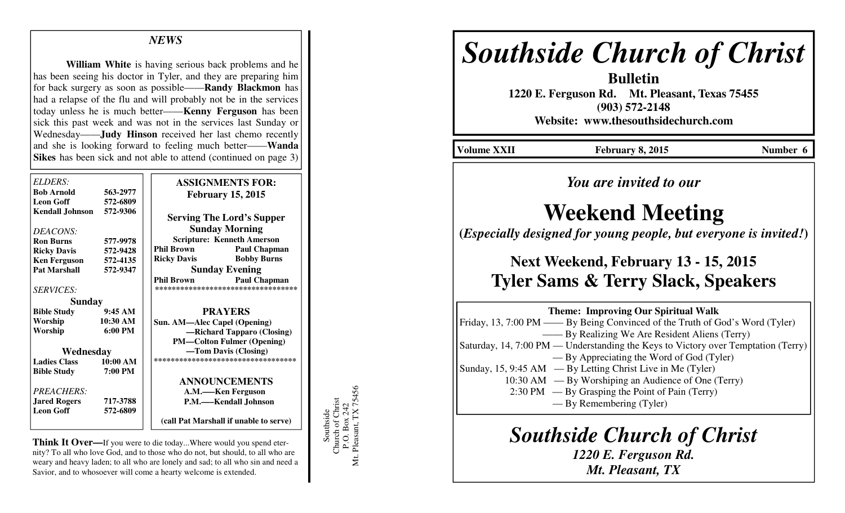### *NEWS*

**William White** is having serious back problems and he has been seeing his doctor in Tyler, and they are preparing him for back surgery as soon as possible——**Randy Blackmon** has had a relapse of the flu and will probably not be in the services today unless he is much better——**Kenny Ferguson** has been sick this past week and was not in the services last Sunday or Wednesday——**Judy Hinson** received her last chemo recently and she is looking forward to feeling much better——**Wanda Sikes** has been sick and not able to attend (continued on page 3)

| ELDERS:                |                   | <b>ASSIGNMENTS FOR:</b>                  |  |
|------------------------|-------------------|------------------------------------------|--|
| <b>Bob Arnold</b>      | 563-2977          |                                          |  |
| <b>Leon Goff</b>       | 572-6809          | <b>February 15, 2015</b>                 |  |
| <b>Kendall Johnson</b> | 572-9306          |                                          |  |
|                        |                   | <b>Serving The Lord's Supper</b>         |  |
| DEACONS:               |                   | <b>Sunday Morning</b>                    |  |
| <b>Ron Burns</b>       | 577-9978          | <b>Scripture: Kenneth Amerson</b>        |  |
| <b>Ricky Davis</b>     | 572-9428          | <b>Phil Brown</b><br><b>Paul Chapman</b> |  |
| <b>Ken Ferguson</b>    | 572-4135          | <b>Bobby Burns</b><br><b>Ricky Davis</b> |  |
| <b>Pat Marshall</b>    | 572-9347          | <b>Sunday Evening</b>                    |  |
|                        |                   | <b>Phil Brown</b><br><b>Paul Chapman</b> |  |
| <b>SERVICES:</b>       |                   | **********************************       |  |
| <b>Sunday</b>          |                   |                                          |  |
| <b>Bible Study</b>     | 9:45AM            | <b>PRAYERS</b>                           |  |
| Worship                | 10:30 AM          | Sun. AM-Alec Capel (Opening)             |  |
| Worship                | $6:00 \text{ PM}$ | -Richard Tapparo (Closing)               |  |
|                        |                   | <b>PM-Colton Fulmer (Opening)</b>        |  |
| Wednesday              |                   | -Tom Davis (Closing)                     |  |
| <b>Ladies Class</b>    | 10:00 AM          | ***********************************      |  |
| <b>Bible Study</b>     | 7:00 PM           |                                          |  |
|                        |                   | <b>ANNOUNCEMENTS</b>                     |  |
| PREACHERS:             |                   | A.M.—Ken Ferguson                        |  |
| <b>Jared Rogers</b>    | 717-3788          | P.M.—–Kendall Johnson                    |  |
| <b>Leon Goff</b>       | 572-6809          |                                          |  |
|                        |                   | (call Pat Marshall if unable to serve)   |  |

**Think It Over—**If you were to die today...Where would you spend eternity? To all who love God, and to those who do not, but should, to all who are weary and heavy laden; to all who are lonely and sad; to all who sin and need a Savior, and to whosoever will come a hearty welcome is extended.

Southside<br>Church of Christ<br>P.O. Box 242<br>Mt. Pleasant, TX 75456 Mt. Pleasant, TX 75456 Church of Christ P.O. Box 242 Southside

# *Southside Church of Christ*

**Bulletin 1220 E. Ferguson Rd. Mt. Pleasant, Texas 75455 (903) 572-2148 Website: www.thesouthsidechurch.com** 

Volume XXII February 8, 2015 **Number 6** 

*You are invited to our* 

## **Weekend Meeting**

**(***Especially designed for young people, but everyone is invited!***)** 

### **Next Weekend, February 13 - 15, 2015 Tyler Sams & Terry Slack, Speakers**

| <b>Theme: Improving Our Spiritual Walk</b>                                        |  |  |
|-----------------------------------------------------------------------------------|--|--|
| Friday, 13, 7:00 PM — By Being Convinced of the Truth of God's Word (Tyler)       |  |  |
| -By Realizing We Are Resident Aliens (Terry)                                      |  |  |
| Saturday, 14, 7:00 PM — Understanding the Keys to Victory over Temptation (Terry) |  |  |
| — By Appreciating the Word of God (Tyler)                                         |  |  |
| Sunday, 15, 9:45 AM — By Letting Christ Live in Me (Tyler)                        |  |  |
| 10:30 AM — By Worshiping an Audience of One (Terry)                               |  |  |
| $2:30 \text{ PM }$ — By Grasping the Point of Pain (Terry)                        |  |  |
| — By Remembering (Tyler)                                                          |  |  |
|                                                                                   |  |  |

### *Southside Church of Christ*

*1220 E. Ferguson Rd. Mt. Pleasant, TX*